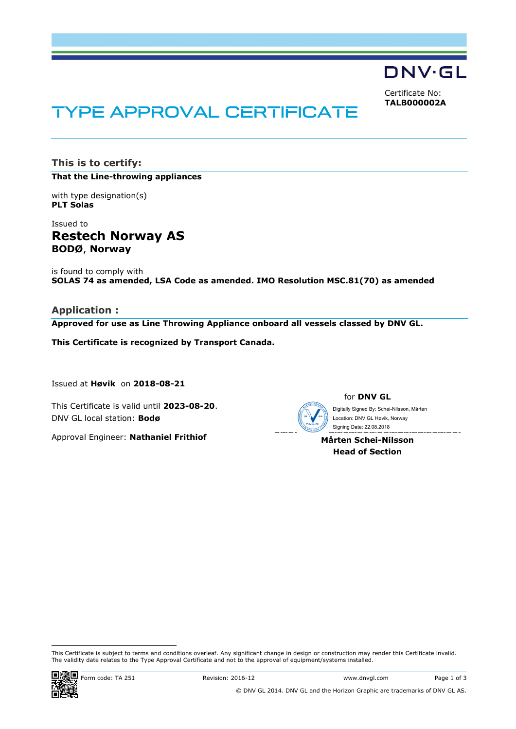DNV·GL

Certificate No: **TALB000002A**

# **TYPE APPROVAL CERTIFICATE**

**This is to certify:**

**That the Line-throwing appliances**

with type designation(s) **PLT Solas**

Issued to **Restech Norway AS BODØ**, **Norway**

is found to comply with **SOLAS 74 as amended, LSA Code as amended. IMO Resolution MSC.81(70) as amended**

## **Application :**

**Approved for use as Line Throwing Appliance onboard all vessels classed by DNV GL.**

**This Certificate is recognized by Transport Canada.**

Issued at **Høvik** on **2018-08-21**

This Certificate is valid until **2023-08-20**. DNV GL local station: **Bodø**

Approval Engineer: **Nathaniel Frithiof**

for **DNV GL**

 Signing Date: 22.08.2018 Digitally Signed By: Schei-Nilsson, Mårten Location: DNV GL Høvik, Norway

**Mårten Schei-Nilsson Head of Section**

 This Certificate is subject to terms and conditions overleaf. Any significant change in design or construction may render this Certificate invalid. The validity date relates to the Type Approval Certificate and not to the approval of equipment/systems installed.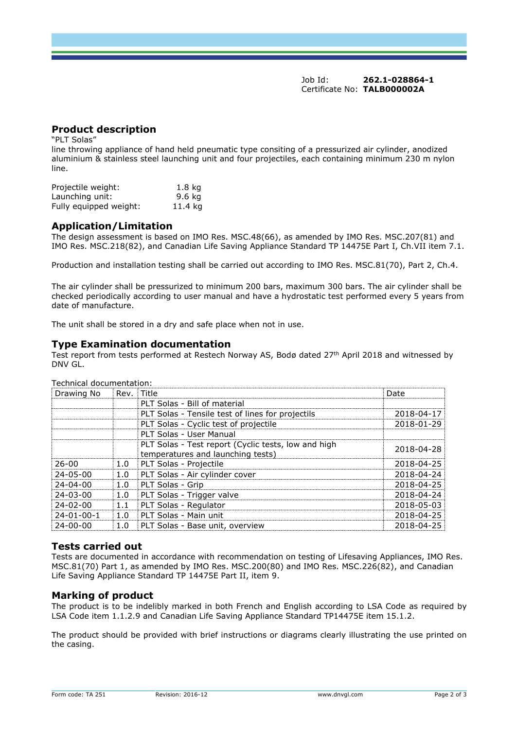Job Id: **262.1-028864-1** Certificate No: **TALB000002A**

# **Product description**

"PLT Solas"

line throwing appliance of hand held pneumatic type consiting of a pressurized air cylinder, anodized aluminium & stainless steel launching unit and four projectiles, each containing minimum 230 m nylon line.

| Projectile weight:     | 1.8 ka  |
|------------------------|---------|
| Launching unit:        | 9.6 ka  |
| Fully equipped weight: | 11.4 ka |

## **Application/Limitation**

The design assessment is based on IMO Res. MSC.48(66), as amended by IMO Res. MSC.207(81) and IMO Res. MSC.218(82), and Canadian Life Saving Appliance Standard TP 14475E Part I, Ch.VII item 7.1.

Production and installation testing shall be carried out according to IMO Res. MSC.81(70), Part 2, Ch.4.

The air cylinder shall be pressurized to minimum 200 bars, maximum 300 bars. The air cylinder shall be checked periodically according to user manual and have a hydrostatic test performed every 5 years from date of manufacture.

The unit shall be stored in a dry and safe place when not in use.

## **Type Examination documentation**

Test report from tests performed at Restech Norway AS, Bodø dated 27<sup>th</sup> April 2018 and witnessed by DNV GL.

| Drawing No         | Rev. | Title                                               | Date       |
|--------------------|------|-----------------------------------------------------|------------|
|                    |      | PLT Solas - Bill of material                        |            |
|                    |      | PLT Solas - Tensile test of lines for projectils    | 2018-04-17 |
|                    |      | PLT Solas - Cyclic test of projectile               | 2018-01-29 |
|                    |      | PLT Solas - User Manual                             |            |
|                    |      | PLT Solas - Test report (Cyclic tests, low and high | 2018-04-28 |
|                    |      | temperatures and launching tests)                   |            |
| $26 - 00$          | 1.0  | PLT Solas - Projectile                              | 2018-04-25 |
| $24 - 05 - 00$     | 1.0  | PLT Solas - Air cylinder cover                      | 2018-04-24 |
| $24 - 04 - 00$     | 1.0  | PLT Solas - Grip                                    | 2018-04-25 |
| $24 - 03 - 00$     | 1.0  | PLT Solas - Trigger valve                           | 2018-04-24 |
| $24 - 02 - 00$     | 1.1  | PLT Solas - Regulator                               | 2018-05-03 |
| $24 - 01 - 00 - 1$ | 1.0  | PLT Solas - Main unit                               | 2018-04-25 |
| $24 - 00 - 00$     | 1.0  | PLT Solas - Base unit, overview                     | 2018-04-25 |

Technical documentation:

#### **Tests carried out**

Tests are documented in accordance with recommendation on testing of Lifesaving Appliances, IMO Res. MSC.81(70) Part 1, as amended by IMO Res. MSC.200(80) and IMO Res. MSC.226(82), and Canadian Life Saving Appliance Standard TP 14475E Part II, item 9.

#### **Marking of product**

The product is to be indelibly marked in both French and English according to LSA Code as required by LSA Code item 1.1.2.9 and Canadian Life Saving Appliance Standard TP14475E item 15.1.2.

The product should be provided with brief instructions or diagrams clearly illustrating the use printed on the casing.